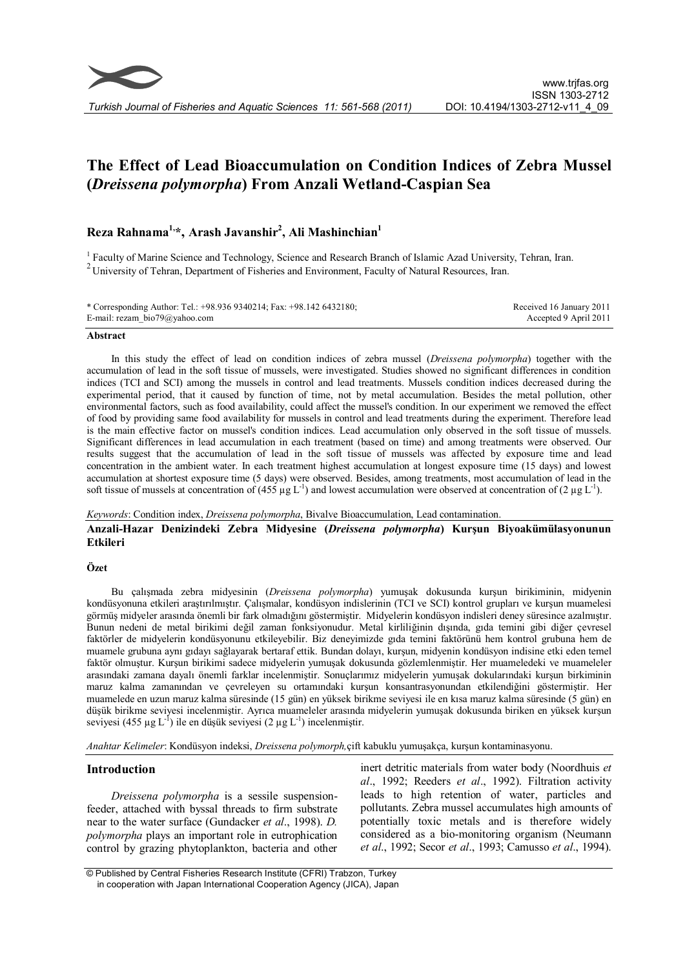

# **The Effect of Lead Bioaccumulation on Condition Indices of Zebra Mussel (***Dreissena polymorpha***) From Anzali Wetland-Caspian Sea**

# **Reza Rahnama1,\*, Arash Javanshir<sup>2</sup> , Ali Mashinchian<sup>1</sup>**

<sup>1</sup> Faculty of Marine Science and Technology, Science and Research Branch of Islamic Azad University, Tehran, Iran. <sup>2</sup> University of Tehran, Department of Fisheries and Environment, Faculty of Natural Resources, Iran.

| * Corresponding Author: Tel.: +98.936 9340214; Fax: +98.142 6432180; | Received 16 January 2011 |
|----------------------------------------------------------------------|--------------------------|
| E-mail: rezam $bio79@yahoo.com$                                      | Accepted 9 April 2011    |

# **Abstract**

In this study the effect of lead on condition indices of zebra mussel (*Dreissena polymorpha*) together with the accumulation of lead in the soft tissue of mussels, were investigated. Studies showed no significant differences in condition indices (TCI and SCI) among the mussels in control and lead treatments. Mussels condition indices decreased during the experimental period, that it caused by function of time, not by metal accumulation. Besides the metal pollution, other environmental factors, such as food availability, could affect the mussel's condition. In our experiment we removed the effect of food by providing same food availability for mussels in control and lead treatments during the experiment. Therefore lead is the main effective factor on mussel's condition indices. Lead accumulation only observed in the soft tissue of mussels. Significant differences in lead accumulation in each treatment (based on time) and among treatments were observed. Our results suggest that the accumulation of lead in the soft tissue of mussels was affected by exposure time and lead concentration in the ambient water. In each treatment highest accumulation at longest exposure time (15 days) and lowest accumulation at shortest exposure time (5 days) were observed. Besides, among treatments, most accumulation of lead in the soft tissue of mussels at concentration of (455  $\mu$ g L<sup>-1</sup>) and lowest accumulation were observed at concentration of (2  $\mu$ g L<sup>-1</sup>).

# *Keywords*: Condition index, *Dreissena polymorpha*, Bivalve Bioaccumulation, Lead contamination.

**Anzali-Hazar Denizindeki Zebra Midyesine (***Dreissena polymorpha***) Kurşun Biyoakümülasyonunun Etkileri**

#### **Özet**

Bu çalışmada zebra midyesinin (*Dreissena polymorpha*) yumuşak dokusunda kurşun birikiminin, midyenin kondüsyonuna etkileri araştırılmıştır. Çalışmalar, kondüsyon indislerinin (TCI ve SCI) kontrol grupları ve kurşun muamelesi görmüş midyeler arasında önemli bir fark olmadığını göstermiştir. Midyelerin kondüsyon indisleri deney süresince azalmıştır. Bunun nedeni de metal birikimi değil zaman fonksiyonudur. Metal kirliliğinin dışında, gıda temini gibi diğer çevresel faktörler de midyelerin kondüsyonunu etkileyebilir. Biz deneyimizde gıda temini faktörünü hem kontrol grubuna hem de muamele grubuna aynı gıdayı sağlayarak bertaraf ettik. Bundan dolayı, kurşun, midyenin kondüsyon indisine etki eden temel faktör olmuştur. Kurşun birikimi sadece midyelerin yumuşak dokusunda gözlemlenmiştir. Her muameledeki ve muameleler arasındaki zamana dayalı önemli farklar incelenmiştir. Sonuçlarımız midyelerin yumuşak dokularındaki kurşun birkiminin maruz kalma zamanından ve çevreleyen su ortamındaki kurşun konsantrasyonundan etkilendiğini göstermiştir. Her muamelede en uzun maruz kalma süresinde (15 gün) en yüksek birikme seviyesi ile en kısa maruz kalma süresinde (5 gün) en düşük birikme seviyesi incelenmiştir. Ayrıca muameleler arasında midyelerin yumuşak dokusunda biriken en yüksek kurşun seviyesi (455 µg L<sup>-1</sup>) ile en düşük seviyesi (2 µg L<sup>-1</sup>) incelenmiştir.

*Anahtar Kelimeler*: Kondüsyon indeksi, *Dreissena polymorph,*çift kabuklu yumuşakça, kurşun kontaminasyonu.

#### **Introduction**

*Dreissena polymorpha* is a sessile suspensionfeeder, attached with byssal threads to firm substrate near to the water surface (Gundacker *et al*., 1998). *D. polymorpha* plays an important role in eutrophication control by grazing phytoplankton, bacteria and other

inert detritic materials from water body (Noordhuis *et al*., 1992; Reeders *et al*., 1992). Filtration activity leads to high retention of water, particles and pollutants. Zebra mussel accumulates high amounts of potentially toxic metals and is therefore widely considered as a bio-monitoring organism (Neumann *et al*., 1992; Secor *et al*., 1993; Camusso *et al*., 1994).

 <sup>©</sup> Published by Central Fisheries Research Institute (CFRI) Trabzon, Turkey in cooperation with Japan International Cooperation Agency (JICA), Japan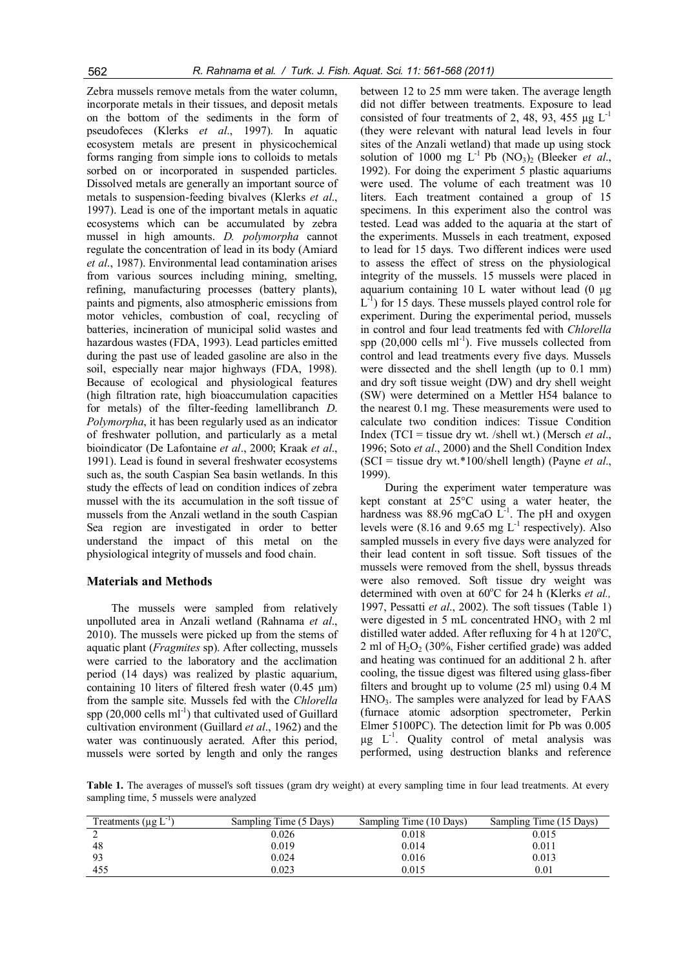Zebra mussels remove metals from the water column, incorporate metals in their tissues, and deposit metals on the bottom of the sediments in the form of pseudofeces (Klerks *et al*., 1997). In aquatic ecosystem metals are present in physicochemical forms ranging from simple ions to colloids to metals sorbed on or incorporated in suspended particles. Dissolved metals are generally an important source of metals to suspension-feeding bivalves (Klerks *et al*., 1997). Lead is one of the important metals in aquatic ecosystems which can be accumulated by zebra mussel in high amounts. *D. polymorpha* cannot regulate the concentration of lead in its body (Amiard *et al*., 1987). Environmental lead contamination arises from various sources including mining, smelting, refining, manufacturing processes (battery plants), paints and pigments, also atmospheric emissions from motor vehicles, combustion of coal, recycling of batteries, incineration of municipal solid wastes and hazardous wastes (FDA, 1993). Lead particles emitted during the past use of leaded gasoline are also in the soil, especially near major highways (FDA, 1998). Because of ecological and physiological features (high filtration rate, high bioaccumulation capacities for metals) of the filter-feeding lamellibranch *D*. *Polymorpha*, it has been regularly used as an indicator of freshwater pollution, and particularly as a metal bioindicator (De Lafontaine *et al*., 2000; Kraak *et al*., 1991). Lead is found in several freshwater ecosystems such as, the south Caspian Sea basin wetlands. In this study the effects of lead on condition indices of zebra mussel with the its accumulation in the soft tissue of mussels from the Anzali wetland in the south Caspian Sea region are investigated in order to better understand the impact of this metal on the physiological integrity of mussels and food chain.

#### **Materials and Methods**

The mussels were sampled from relatively unpolluted area in Anzali wetland (Rahnama *et al*., 2010). The mussels were picked up from the stems of aquatic plant (*Fragmites* sp). After collecting, mussels were carried to the laboratory and the acclimation period (14 days) was realized by plastic aquarium, containing 10 liters of filtered fresh water  $(0.45 \text{ µm})$ from the sample site. Mussels fed with the *Chlorella* spp (20,000 cells ml<sup>-1</sup>) that cultivated used of Guillard cultivation environment (Guillard *et al*., 1962) and the water was continuously aerated. After this period, mussels were sorted by length and only the ranges

between 12 to 25 mm were taken. The average length did not differ between treatments. Exposure to lead consisted of four treatments of 2, 48, 93, 455  $\mu$ g L<sup>-1</sup> (they were relevant with natural lead levels in four sites of the Anzali wetland) that made up using stock solution of 1000 mg  $L^{-1}$  Pb (NO<sub>3</sub>)<sub>2</sub> (Bleeker *et al.*, 1992). For doing the experiment 5 plastic aquariums were used. The volume of each treatment was 10 liters. Each treatment contained a group of 15 specimens. In this experiment also the control was tested. Lead was added to the aquaria at the start of the experiments. Mussels in each treatment, exposed to lead for 15 days. Two different indices were used to assess the effect of stress on the physiological integrity of the mussels. 15 mussels were placed in aquarium containing  $10$  L water without lead  $(0 \mu g)$  $L^{-1}$ ) for 15 days. These mussels played control role for experiment. During the experimental period, mussels in control and four lead treatments fed with *Chlorella* spp  $(20,000 \text{ cells ml}^{-1})$ . Five mussels collected from control and lead treatments every five days. Mussels were dissected and the shell length (up to 0.1 mm) and dry soft tissue weight (DW) and dry shell weight (SW) were determined on a Mettler H54 balance to the nearest 0.1 mg. These measurements were used to calculate two condition indices: Tissue Condition Index (TCI = tissue dry wt. /shell wt.) (Mersch *et al*., 1996; Soto *et al*., 2000) and the Shell Condition Index (SCI = tissue dry wt.\*100/shell length) (Payne *et al*., 1999).

During the experiment water temperature was kept constant at 25°C using a water heater, the hardness was 88.96 mgCaO  $L^{-1}$ . The pH and oxygen levels were (8.16 and  $9.65$  mg L<sup>-1</sup> respectively). Also sampled mussels in every five days were analyzed for their lead content in soft tissue. Soft tissues of the mussels were removed from the shell, byssus threads were also removed. Soft tissue dry weight was determined with oven at 60°C for 24 h (Klerks *et al.*, 1997, Pessatti *et al*., 2002). The soft tissues (Table 1) were digested in 5 mL concentrated  $HNO<sub>3</sub>$  with 2 ml distilled water added. After refluxing for 4 h at  $120^{\circ}$ C, 2 ml of  $H_2O_2$  (30%, Fisher certified grade) was added and heating was continued for an additional 2 h. after cooling, the tissue digest was filtered using glass-fiber filters and brought up to volume (25 ml) using 0.4 M  $HNO<sub>3</sub>$ . The samples were analyzed for lead by FAAS (furnace atomic adsorption spectrometer, Perkin Elmer 5100PC). The detection limit for Pb was 0.005  $\mu$ g L<sup>-1</sup>. Quality control of metal analysis was performed, using destruction blanks and reference

Table 1. The averages of mussel's soft tissues (gram dry weight) at every sampling time in four lead treatments. At every sampling time, 5 mussels were analyzed

| Treatments ( $\mu$ g L <sup>11</sup> ) | Sampling Time (5 Days) | Sampling Time (10 Days) | Sampling Time (15 Days) |
|----------------------------------------|------------------------|-------------------------|-------------------------|
|                                        | 9.026                  | 0.018                   | 0.015                   |
| 48                                     | 0.019                  | 0.014                   | 0.011                   |
| Q <sub>2</sub>                         | 0.024                  | 0.016                   | 0.013                   |
| 455                                    | 0.023                  | 0.015                   | 0.01                    |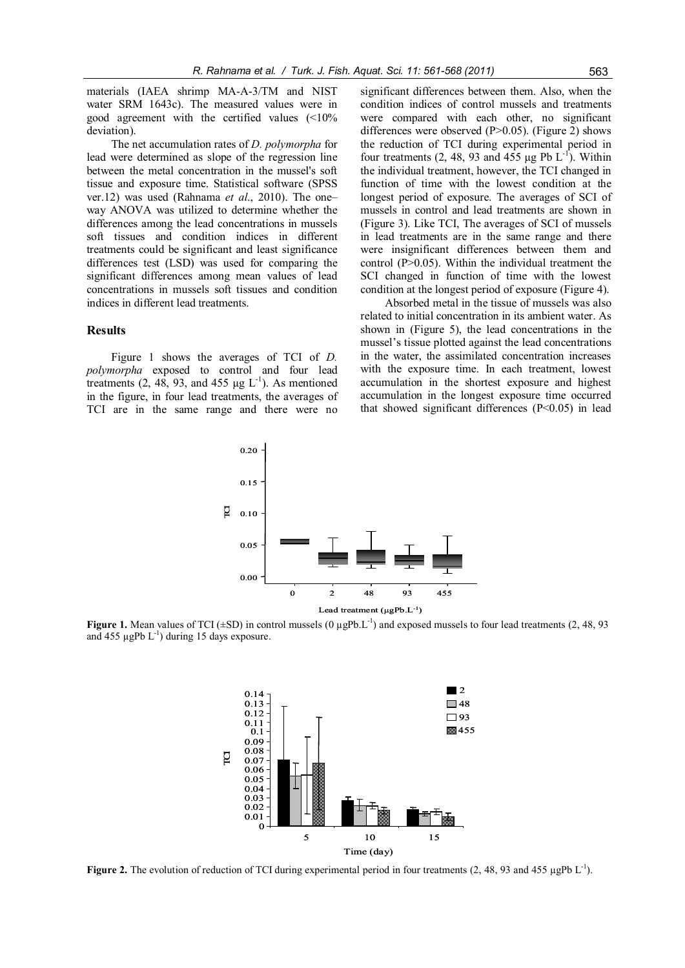materials (IAEA shrimp MA-A-3/TM and NIST water SRM 1643c). The measured values were in good agreement with the certified values (<10% deviation).

The net accumulation rates of *D. polymorpha* for lead were determined as slope of the regression line between the metal concentration in the mussel's soft tissue and exposure time. Statistical software (SPSS ver.12) was used (Rahnama *et al*., 2010). The one– way ANOVA was utilized to determine whether the differences among the lead concentrations in mussels soft tissues and condition indices in different treatments could be significant and least significance differences test (LSD) was used for comparing the significant differences among mean values of lead concentrations in mussels soft tissues and condition indices in different lead treatments.

# **Results**

Figure 1 shows the averages of TCI of *D. polymorpha* exposed to control and four lead treatments (2, 48, 93, and 455  $\mu$ g L<sup>-1</sup>). As mentioned in the figure, in four lead treatments, the averages of TCI are in the same range and there were no significant differences between them. Also, when the condition indices of control mussels and treatments were compared with each other, no significant differences were observed  $(P>0.05)$ . (Figure 2) shows the reduction of TCI during experimental period in four treatments (2, 48, 93 and 455  $\mu$ g Pb L<sup>-1</sup>). Within the individual treatment, however, the TCI changed in function of time with the lowest condition at the longest period of exposure. The averages of SCI of mussels in control and lead treatments are shown in (Figure 3). Like TCI, The averages of SCI of mussels in lead treatments are in the same range and there were insignificant differences between them and control (P>0.05). Within the individual treatment the SCI changed in function of time with the lowest condition at the longest period of exposure (Figure 4).

Absorbed metal in the tissue of mussels was also related to initial concentration in its ambient water. As shown in (Figure 5), the lead concentrations in the mussel's tissue plotted against the lead concentrations in the water, the assimilated concentration increases with the exposure time. In each treatment, lowest accumulation in the shortest exposure and highest accumulation in the longest exposure time occurred that showed significant differences (P<0.05) in lead



**Figure 1.** Mean values of TCI ( $\pm$ SD) in control mussels (0  $\mu$ gPb.L<sup>-1</sup>) and exposed mussels to four lead treatments (2, 48, 93) and 455  $\mu$ gPb L<sup>-1</sup>) during 15 days exposure.



**Figure 2.** The evolution of reduction of TCI during experimental period in four treatments (2, 48, 93 and 455 µgPb L<sup>-1</sup>).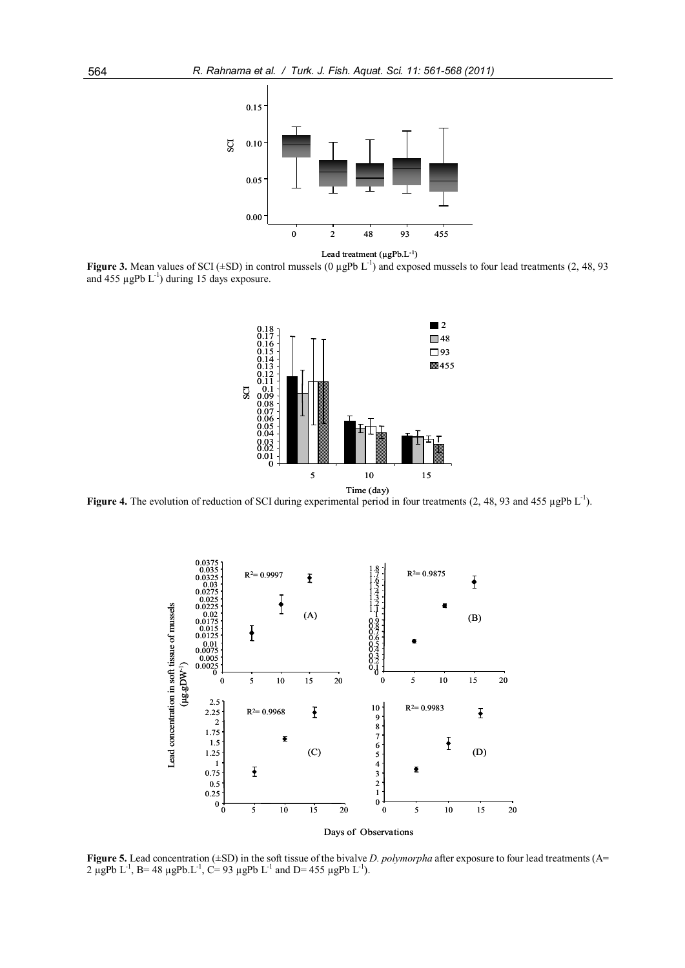

Lead treatment (µgPb.L<sup>-1</sup>)

**Figure 3.** Mean values of SCI ( $\pm$ SD) in control mussels (0  $\mu$ gPb L<sup>-1</sup>) and exposed mussels to four lead treatments (2, 48, 93 and 455  $\mu$ gPb L<sup>-1</sup>) during 15 days exposure.



Figure 4. The evolution of reduction of SCI during experimental period in four treatments (2, 48, 93 and 455 µgPb L<sup>-1</sup>).



**Figure 5.** Lead concentration (±SD) in the soft tissue of the bivalve *D. polymorpha* after exposure to four lead treatments (A= 2 µgPb L<sup>-1</sup>, B= 48 µgPb L<sup>-1</sup>, C= 93 µgPb L<sup>-1</sup> and D= 455 µgPb L<sup>-1</sup>).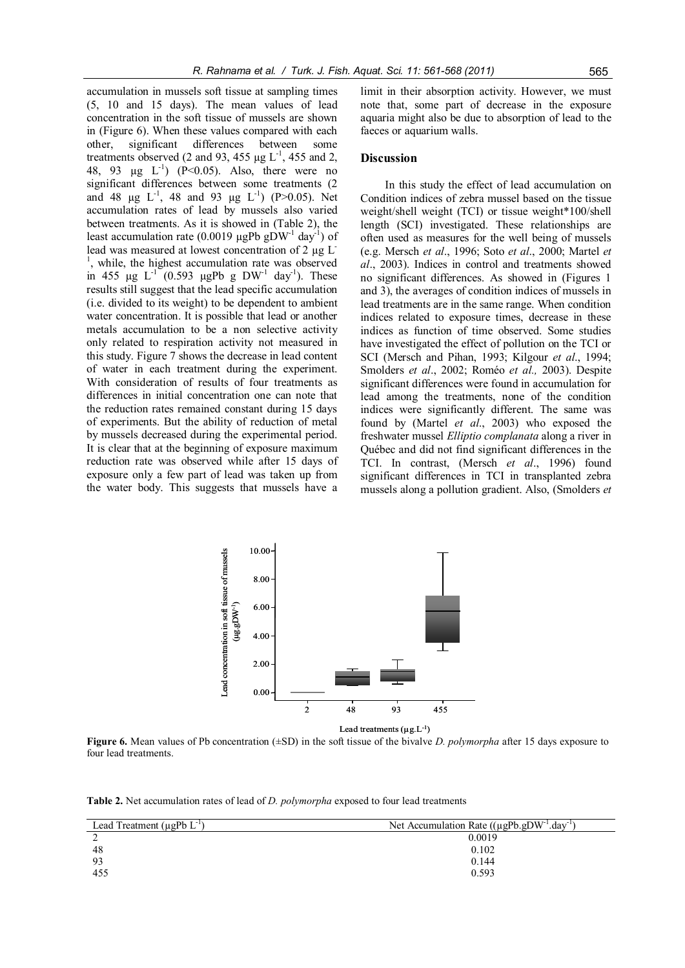accumulation in mussels soft tissue at sampling times (5, 10 and 15 days). The mean values of lead concentration in the soft tissue of mussels are shown in (Figure 6). When these values compared with each other, significant differences between some treatments observed (2 and 93, 455  $\mu$ g L<sup>-1</sup>, 455 and 2, 48, 93  $\mu$ g L<sup>-1</sup>) (P<0.05). Also, there were no significant differences between some treatments (2 and 48  $\mu$ g L<sup>-1</sup>, 48 and 93  $\mu$ g L<sup>-1</sup>) (P>0.05). Net accumulation rates of lead by mussels also varied between treatments. As it is showed in (Table 2), the least accumulation rate (0.0019  $\mu$ gPb gDW<sup>-1</sup> day<sup>-1</sup>) of lead was measured at lowest concentration of 2 µg L-<sup>1</sup>, while, the highest accumulation rate was observed in 455  $\mu$ g L<sup>-1</sup> (0.593  $\mu$ gPb g DW<sup>-1</sup> day<sup>-1</sup>). These results still suggest that the lead specific accumulation (i.e. divided to its weight) to be dependent to ambient water concentration. It is possible that lead or another metals accumulation to be a non selective activity only related to respiration activity not measured in this study. Figure 7 shows the decrease in lead content of water in each treatment during the experiment. With consideration of results of four treatments as differences in initial concentration one can note that the reduction rates remained constant during 15 days of experiments. But the ability of reduction of metal by mussels decreased during the experimental period. It is clear that at the beginning of exposure maximum reduction rate was observed while after 15 days of exposure only a few part of lead was taken up from the water body. This suggests that mussels have a limit in their absorption activity. However, we must note that, some part of decrease in the exposure aquaria might also be due to absorption of lead to the faeces or aquarium walls.

# **Discussion**

In this study the effect of lead accumulation on Condition indices of zebra mussel based on the tissue weight/shell weight (TCI) or tissue weight\*100/shell length (SCI) investigated. These relationships are often used as measures for the well being of mussels (e.g. Mersch *et al*., 1996; Soto *et al*., 2000; Martel *et al*., 2003). Indices in control and treatments showed no significant differences. As showed in (Figures 1 and 3), the averages of condition indices of mussels in lead treatments are in the same range. When condition indices related to exposure times, decrease in these indices as function of time observed. Some studies have investigated the effect of pollution on the TCI or SCI (Mersch and Pihan, 1993; Kilgour *et al*., 1994; Smolders *et al*., 2002; Roméo *et al.,* 2003). Despite significant differences were found in accumulation for lead among the treatments, none of the condition indices were significantly different. The same was found by (Martel *et al*., 2003) who exposed the freshwater mussel *Elliptio complanata* along a river in Québec and did not find significant differences in the TCI. In contrast, (Mersch *et al*., 1996) found significant differences in TCI in transplanted zebra mussels along a pollution gradient. Also, (Smolders *et*



**Figure 6.** Mean values of Pb concentration (±SD) in the soft tissue of the bivalve *D. polymorpha* after 15 days exposure to four lead treatments.

**Table 2.** Net accumulation rates of lead of *D. polymorpha* exposed to four lead treatments

| Lead Treatment ( $\mu$ gPb $L^{-1}$ ) | Net Accumulation Rate $((\mu gPb.gDW-1.day-1)$ |
|---------------------------------------|------------------------------------------------|
|                                       | 0.0019                                         |
| 48                                    | 0.102                                          |
| 93                                    | 0.144                                          |
| 455                                   | 0.593                                          |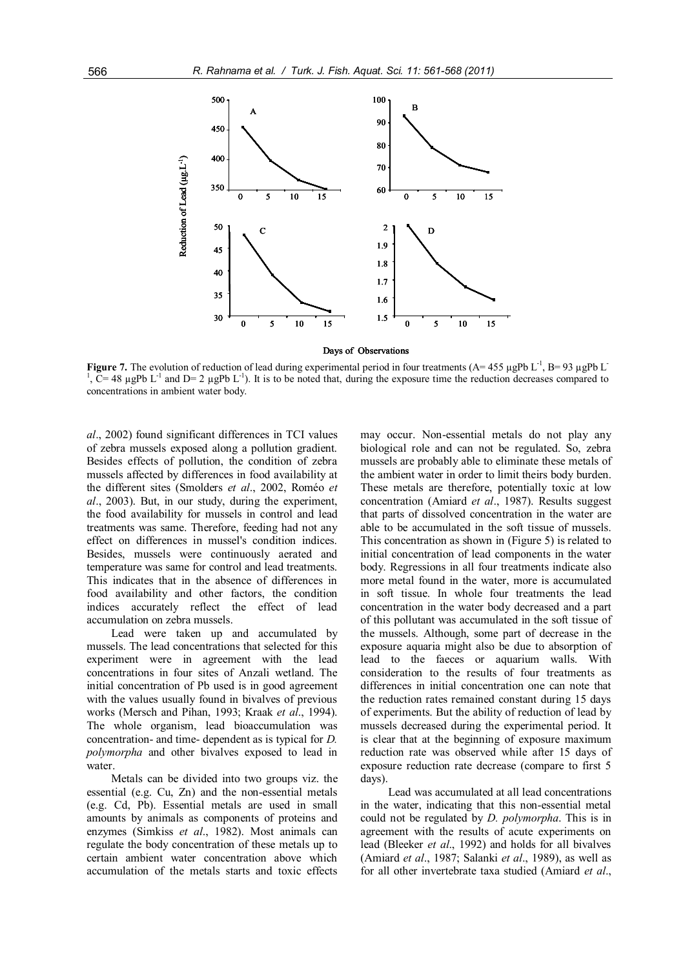

**Figure 7.** The evolution of reduction of lead during experimental period in four treatments  $(A=455 \mu gPb L^{-1}, B=93 \mu gPb L^{-1})$ <br><sup>1</sup>.  $C=48 \mu gPb L^{-1}$  and  $D=2 \mu gPb L^{-1}$ , It is to be noted that, during the expecture time the red ,  $\tilde{C}$  = 48 µgPb L<sup>-1</sup> and D= 2 µgPb L<sup>-1</sup>). It is to be noted that, during the exposure time the reduction decreases compared to concentrations in ambient water body.

*al*., 2002) found significant differences in TCI values of zebra mussels exposed along a pollution gradient. Besides effects of pollution, the condition of zebra mussels affected by differences in food availability at the different sites (Smolders *et al*., 2002, Roméo *et al*., 2003). But, in our study, during the experiment, the food availability for mussels in control and lead treatments was same. Therefore, feeding had not any effect on differences in mussel's condition indices. Besides, mussels were continuously aerated and temperature was same for control and lead treatments. This indicates that in the absence of differences in food availability and other factors, the condition indices accurately reflect the effect of lead accumulation on zebra mussels.

Lead were taken up and accumulated by mussels. The lead concentrations that selected for this experiment were in agreement with the lead concentrations in four sites of Anzali wetland. The initial concentration of Pb used is in good agreement with the values usually found in bivalves of previous works (Mersch and Pihan, 1993; Kraak *et al*., 1994). The whole organism, lead bioaccumulation was concentration- and time- dependent as is typical for *D. polymorpha* and other bivalves exposed to lead in water

Metals can be divided into two groups viz. the essential (e.g. Cu, Zn) and the non-essential metals (e.g. Cd, Pb). Essential metals are used in small amounts by animals as components of proteins and enzymes (Simkiss *et al*., 1982). Most animals can regulate the body concentration of these metals up to certain ambient water concentration above which accumulation of the metals starts and toxic effects may occur. Non-essential metals do not play any biological role and can not be regulated. So, zebra mussels are probably able to eliminate these metals of the ambient water in order to limit theirs body burden. These metals are therefore, potentially toxic at low concentration (Amiard *et al*., 1987). Results suggest that parts of dissolved concentration in the water are able to be accumulated in the soft tissue of mussels. This concentration as shown in (Figure 5) is related to initial concentration of lead components in the water body. Regressions in all four treatments indicate also more metal found in the water, more is accumulated in soft tissue. In whole four treatments the lead concentration in the water body decreased and a part of this pollutant was accumulated in the soft tissue of the mussels. Although, some part of decrease in the exposure aquaria might also be due to absorption of lead to the faeces or aquarium walls. With consideration to the results of four treatments as differences in initial concentration one can note that the reduction rates remained constant during 15 days of experiments. But the ability of reduction of lead by mussels decreased during the experimental period. It is clear that at the beginning of exposure maximum reduction rate was observed while after 15 days of exposure reduction rate decrease (compare to first 5 days).

 Lead was accumulated at all lead concentrations in the water, indicating that this non-essential metal could not be regulated by *D. polymorpha*. This is in agreement with the results of acute experiments on lead (Bleeker *et al*., 1992) and holds for all bivalves (Amiard *et al*., 1987; Salanki *et al*., 1989), as well as for all other invertebrate taxa studied (Amiard *et al*.,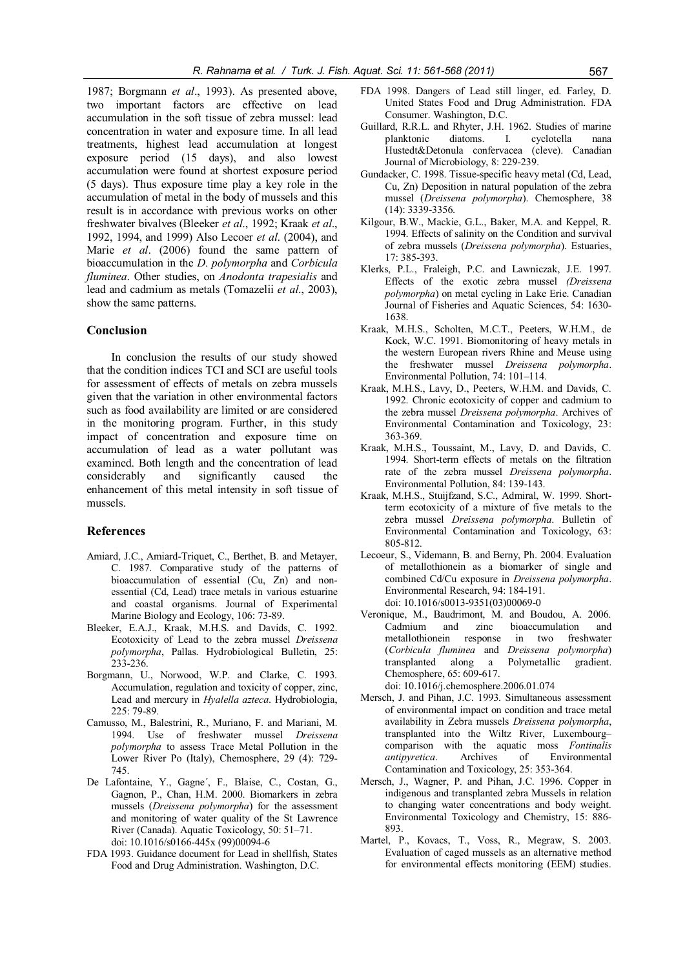1987; Borgmann *et al*., 1993). As presented above, two important factors are effective on lead accumulation in the soft tissue of zebra mussel: lead concentration in water and exposure time. In all lead treatments, highest lead accumulation at longest exposure period (15 days), and also lowest accumulation were found at shortest exposure period (5 days). Thus exposure time play a key role in the accumulation of metal in the body of mussels and this result is in accordance with previous works on other freshwater bivalves (Bleeker *et al*., 1992; Kraak *et al*., 1992, 1994, and 1999) Also Lecoer *et al*. (2004), and Marie *et al*. (2006) found the same pattern of bioaccumulation in the *D. polymorpha* and *Corbicula fluminea*. Other studies, on *Anodonta trapesialis* and lead and cadmium as metals (Tomazelii *et al*., 2003), show the same patterns.

# **Conclusion**

In conclusion the results of our study showed that the condition indices TCI and SCI are useful tools for assessment of effects of metals on zebra mussels given that the variation in other environmental factors such as food availability are limited or are considered in the monitoring program. Further, in this study impact of concentration and exposure time on accumulation of lead as a water pollutant was examined. Both length and the concentration of lead considerably and significantly caused the enhancement of this metal intensity in soft tissue of mussels.

# **References**

- Amiard, J.C., Amiard-Triquet, C., Berthet, B. and Metayer, C. 1987. Comparative study of the patterns of bioaccumulation of essential (Cu, Zn) and nonessential (Cd, Lead) trace metals in various estuarine and coastal organisms. Journal of Experimental Marine Biology and Ecology, 106: 73-89.
- Bleeker, E.A.J., Kraak, M.H.S. and Davids, C. 1992. Ecotoxicity of Lead to the zebra mussel *Dreissena polymorpha*, Pallas. Hydrobiological Bulletin, 25: 233-236.
- Borgmann, U., Norwood, W.P. and Clarke, C. 1993. Accumulation, regulation and toxicity of copper, zinc, Lead and mercury in *Hyalella azteca*. Hydrobiologia, 225: 79-89.
- Camusso, M., Balestrini, R., Muriano, F. and Mariani, M. 1994. Use of freshwater mussel *Dreissena polymorpha* to assess Trace Metal Pollution in the Lower River Po (Italy), Chemosphere, 29 (4): 729- 745.
- De Lafontaine, Y., Gagne´, F., Blaise, C., Costan, G., Gagnon, P., Chan, H.M. 2000. Biomarkers in zebra mussels (*Dreissena polymorpha*) for the assessment and monitoring of water quality of the St Lawrence River (Canada). Aquatic Toxicology, 50: 51–71. doi: 10.1016/s0166-445x (99)00094-6
- FDA 1993. Guidance document for Lead in shellfish, States Food and Drug Administration. Washington, D.C.
- FDA 1998. Dangers of Lead still linger, ed. Farley, D. United States Food and Drug Administration. FDA Consumer. Washington, D.C.
- Guillard, R.R.L. and Rhyter, J.H. 1962. Studies of marine planktonic diatoms. I. cyclotella nana Hustedt&Detonula confervacea (cleve). Canadian Journal of Microbiology, 8: 229-239.
- Gundacker, C. 1998. Tissue-specific heavy metal (Cd, Lead, Cu, Zn) Deposition in natural population of the zebra mussel (*Dreissena polymorpha*). Chemosphere, 38 (14): 3339-3356.
- Kilgour, B.W., Mackie, G.L., Baker, M.A. and Keppel, R. 1994. Effects of salinity on the Condition and survival of zebra mussels (*Dreissena polymorpha*). Estuaries, 17: 385-393.
- Klerks, P.L., Fraleigh, P.C. and Lawniczak, J.E. 1997. Effects of the exotic zebra mussel *(Dreissena polymorpha*) on metal cycling in Lake Erie. Canadian Journal of Fisheries and Aquatic Sciences, 54: 1630- 1638.
- Kraak, M.H.S., Scholten, M.C.T., Peeters, W.H.M., de Kock, W.C. 1991. Biomonitoring of heavy metals in the western European rivers Rhine and Meuse using the freshwater mussel *Dreissena polymorpha*. Environmental Pollution, 74: 101–114.
- Kraak, M.H.S., Lavy, D., Peeters, W.H.M. and Davids, C. 1992. Chronic ecotoxicity of copper and cadmium to the zebra mussel *Dreissena polymorpha*. Archives of Environmental Contamination and Toxicology, 23: 363-369.
- Kraak, M.H.S., Toussaint, M., Lavy, D. and Davids, C. 1994. Short-term effects of metals on the filtration rate of the zebra mussel *Dreissena polymorpha*. Environmental Pollution, 84: 139-143.
- Kraak, M.H.S., Stuijfzand, S.C., Admiral, W. 1999. Shortterm ecotoxicity of a mixture of five metals to the zebra mussel *Dreissena polymorpha*. Bulletin of Environmental Contamination and Toxicology, 63: 805-812.
- Lecoeur, S., Videmann, B. and Berny, Ph. 2004. Evaluation of metallothionein as a biomarker of single and combined Cd/Cu exposure in *Dreissena polymorpha*. Environmental Research, 94: 184-191. doi: 10.1016/s0013-9351(03)00069-0
- Veronique, M., Baudrimont, M. and Boudou, A. 2006. Cadmium and zinc bioaccumulation and metallothionein response in two freshwater (*Corbicula fluminea* and *Dreissena polymorpha*) transplanted along a Polymetallic gradient. Chemosphere, 65: 609-617.
- doi: 10.1016/j.chemosphere.2006.01.074 Mersch, J. and Pihan, J.C. 1993. Simultaneous assessment of environmental impact on condition and trace metal availability in Zebra mussels *Dreissena polymorpha*, transplanted into the Wiltz River, Luxembourg– comparison with the aquatic moss *Fontinalis antipyretica*. Archives of Environmental Contamination and Toxicology, 25: 353-364.
- Mersch, J., Wagner, P. and Pihan, J.C. 1996. Copper in indigenous and transplanted zebra Mussels in relation to changing water concentrations and body weight. Environmental Toxicology and Chemistry, 15: 886- 893.
- Martel, P., Kovacs, T., Voss, R., Megraw, S. 2003. Evaluation of caged mussels as an alternative method for environmental effects monitoring (EEM) studies.